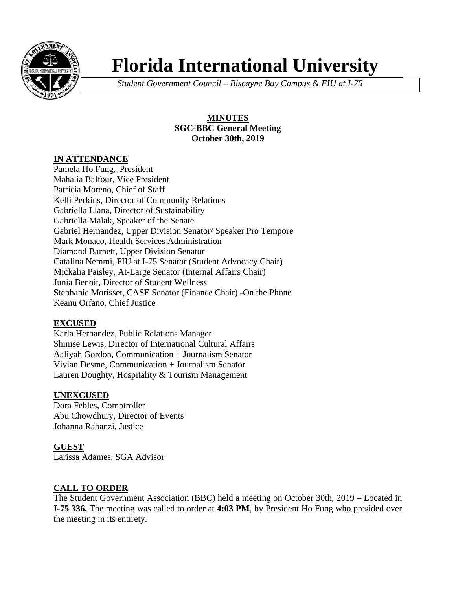

# **Florida International University**

*Student Government Council – Biscayne Bay Campus & FIU at I-75*

## **MINUTES SGC-BBC General Meeting October 30th, 2019**

## **IN ATTENDANCE**

Pamela Ho Fung,, President Mahalia Balfour, Vice President Patricia Moreno, Chief of Staff Kelli Perkins, Director of Community Relations Gabriella Llana, Director of Sustainability Gabriella Malak, Speaker of the Senate Gabriel Hernandez, Upper Division Senator/ Speaker Pro Tempore Mark Monaco, Health Services Administration Diamond Barnett, Upper Division Senator Catalina Nemmi, FIU at I-75 Senator (Student Advocacy Chair) Mickalia Paisley, At-Large Senator (Internal Affairs Chair) Junia Benoit, Director of Student Wellness Stephanie Morisset, CASE Senator (Finance Chair) -On the Phone Keanu Orfano, Chief Justice

## **EXCUSED**

Karla Hernandez, Public Relations Manager Shinise Lewis, Director of International Cultural Affairs Aaliyah Gordon, Communication + Journalism Senator Vivian Desme, Communication + Journalism Senator Lauren Doughty, Hospitality & Tourism Management

# **UNEXCUSED**

Dora Febles, Comptroller Abu Chowdhury, Director of Events Johanna Rabanzi, Justice

**GUEST** Larissa Adames, SGA Advisor

# **CALL TO ORDER**

The Student Government Association (BBC) held a meeting on October 30th, 2019 – Located in **I-75 336.** The meeting was called to order at 4:03 PM, by President Ho Fung who presided over the meeting in its entirety.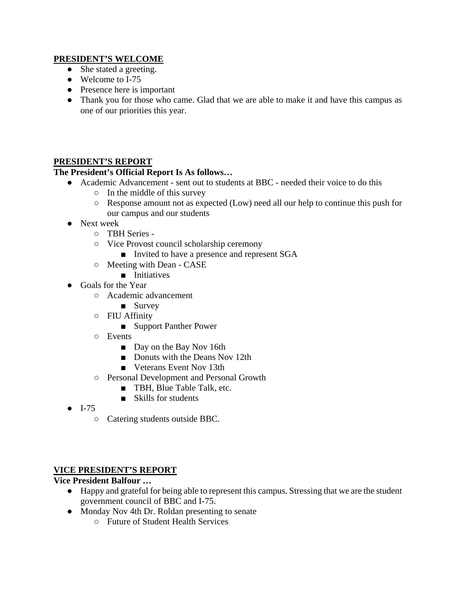## **PRESIDENT'S WELCOME**

- She stated a greeting.
- Welcome to I-75
- Presence here is important
- Thank you for those who came. Glad that we are able to make it and have this campus as one of our priorities this year.

## **PRESIDENT'S REPORT**

#### **The President's Official Report Is As follows…**

- Academic Advancement sent out to students at BBC needed their voice to do this
	- In the middle of this survey
	- Response amount not as expected (Low) need all our help to continue this push for our campus and our students
- Next week
	- TBH Series -
	- Vice Provost council scholarship ceremony
		- Invited to have a presence and represent SGA
	- Meeting with Dean CASE
		- Initiatives
- Goals for the Year
	- Academic advancement
		- Survey
	- FIU Affinity
		- Support Panther Power
	- Events
		- Day on the Bay Nov 16th
		- Donuts with the Deans Nov 12th
		- Veterans Event Nov 13th
	- Personal Development and Personal Growth
		- TBH, Blue Table Talk, etc.
		- Skills for students
- $\bullet$  I-75
	- Catering students outside BBC.

#### **VICE PRESIDENT'S REPORT**

#### **Vice President Balfour …**

- Happy and grateful for being able to represent this campus. Stressing that we are the student government council of BBC and I-75.
- Monday Nov 4th Dr. Roldan presenting to senate
	- Future of Student Health Services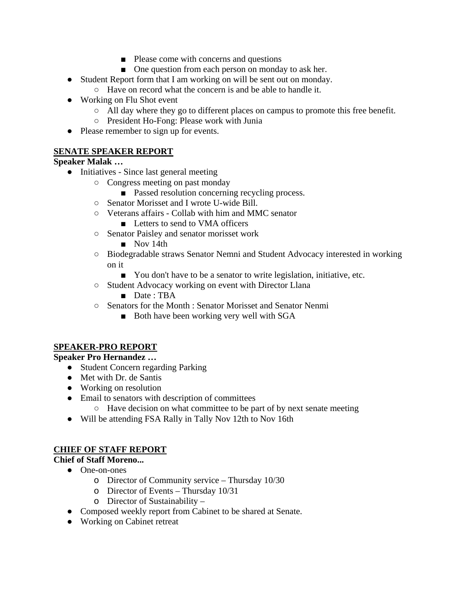- Please come with concerns and questions
- One question from each person on monday to ask her.
- Student Report form that I am working on will be sent out on monday.
	- Have on record what the concern is and be able to handle it.
- Working on Flu Shot event
	- All day where they go to different places on campus to promote this free benefit.
	- President Ho-Fong: Please work with Junia
- Please remember to sign up for events.

# **SENATE SPEAKER REPORT**

## **Speaker Malak …**

- Initiatives Since last general meeting
	- Congress meeting on past monday
		- Passed resolution concerning recycling process.
	- Senator Morisset and I wrote U-wide Bill.
	- Veterans affairs Collab with him and MMC senator
		- Letters to send to VMA officers
	- Senator Paisley and senator morisset work
		- Nov 14th
	- Biodegradable straws Senator Nemni and Student Advocacy interested in working on it
		- You don't have to be a senator to write legislation, initiative, etc.
	- Student Advocacy working on event with Director Llana
		- Date : TBA
	- Senators for the Month : Senator Morisset and Senator Nenmi
		- Both have been working very well with SGA

# **SPEAKER-PRO REPORT**

## **Speaker Pro Hernandez …**

- Student Concern regarding Parking
- Met with Dr. de Santis
- Working on resolution
- Email to senators with description of committees
	- Have decision on what committee to be part of by next senate meeting
- Will be attending FSA Rally in Tally Nov 12th to Nov 16th

# **CHIEF OF STAFF REPORT**

## **Chief of Staff Moreno...**

- One-on-ones
	- o Director of Community service Thursday 10/30
	- o Director of Events Thursday 10/31
	- o Director of Sustainability –
- Composed weekly report from Cabinet to be shared at Senate.
- Working on Cabinet retreat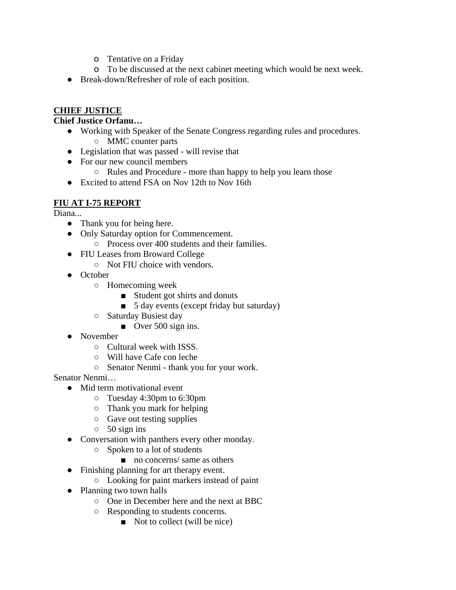- o Tentative on a Friday
- o To be discussed at the next cabinet meeting which would be next week.
- Break-down/Refresher of role of each position.

# **CHIEF JUSTICE**

## **Chief Justice Orfanu…**

- Working with Speaker of the Senate Congress regarding rules and procedures.
	- MMC counter parts
- Legislation that was passed will revise that
- For our new council members
	- Rules and Procedure more than happy to help you learn those
- Excited to attend FSA on Nov 12th to Nov 16th

# **FIU AT I-75 REPORT**

Diana...

- Thank you for being here.
- Only Saturday option for Commencement.
	- Process over 400 students and their families.
- FIU Leases from Broward College
	- Not FIU choice with vendors.
- October
	- Homecoming week
		- Student got shirts and donuts
		- 5 day events (except friday but saturday)
	- Saturday Busiest day
		- Over 500 sign ins.
- November
	- Cultural week with ISSS.
	- Will have Cafe con leche
	- Senator Nenmi thank you for your work.

Senator Nenmi…

- Mid term motivational event
	- Tuesday 4:30pm to 6:30pm
	- Thank you mark for helping
	- Gave out testing supplies
	- $\circ$  50 sign ins
- Conversation with panthers every other monday.
	- Spoken to a lot of students
		- no concerns/ same as others
- Finishing planning for art therapy event.
	- Looking for paint markers instead of paint
- Planning two town halls
	- One in December here and the next at BBC
	- Responding to students concerns.
		- Not to collect (will be nice)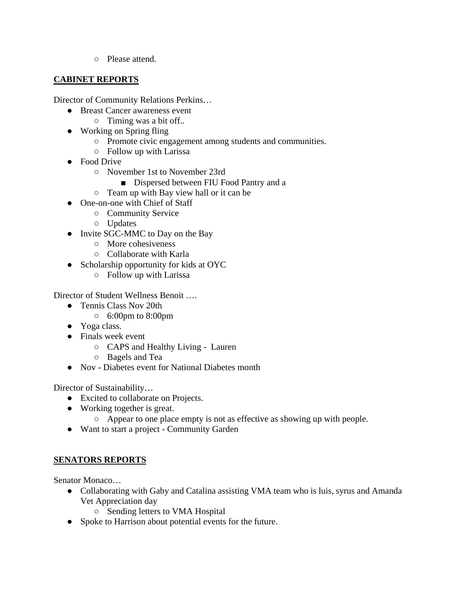○ Please attend.

## **CABINET REPORTS**

Director of Community Relations Perkins…

- Breast Cancer awareness event
	- Timing was a bit off..
- Working on Spring fling
	- Promote civic engagement among students and communities.
	- Follow up with Larissa
- Food Drive
	- November 1st to November 23rd
		- Dispersed between FIU Food Pantry and a
	- Team up with Bay view hall or it can be
- One-on-one with Chief of Staff
	- Community Service
		- Updates
- Invite SGC-MMC to Day on the Bay
	- More cohesiveness
	- Collaborate with Karla
- Scholarship opportunity for kids at OYC
	- $\circ$  Follow up with Larissa

Director of Student Wellness Benoit ….

- Tennis Class Nov 20th
	- 6:00pm to 8:00pm
- Yoga class.
- Finals week event
	- CAPS and Healthy Living Lauren
	- Bagels and Tea
- Nov Diabetes event for National Diabetes month

Director of Sustainability…

- Excited to collaborate on Projects.
- Working together is great.
	- Appear to one place empty is not as effective as showing up with people.
- Want to start a project Community Garden

# **SENATORS REPORTS**

Senator Monaco…

- Collaborating with Gaby and Catalina assisting VMA team who is luis, syrus and Amanda Vet Appreciation day
	- Sending letters to VMA Hospital
- Spoke to Harrison about potential events for the future.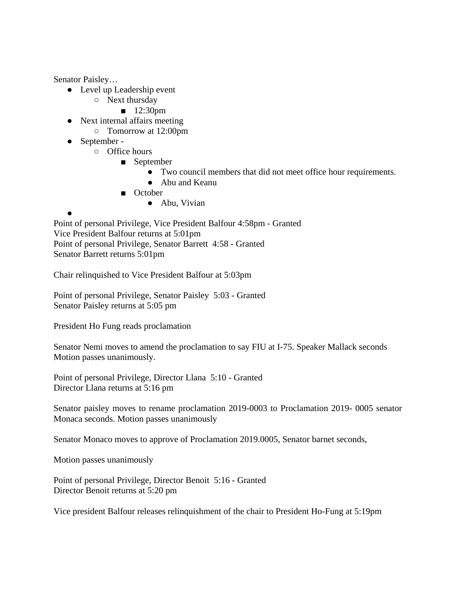Senator Paisley…

- Level up Leadership event
	- Next thursday
		- 12:30pm
- Next internal affairs meeting
	- Tomorrow at 12:00pm
- September
	- Office hours
		- September
			- Two council members that did not meet office hour requirements.
			- Abu and Keanu
		- October
			- Abu, Vivian

● Point of personal Privilege, Vice President Balfour 4:58pm - Granted Vice President Balfour returns at 5:01pm Point of personal Privilege, Senator Barrett 4:58 - Granted Senator Barrett returns 5:01pm

Chair relinquished to Vice President Balfour at 5:03pm

Point of personal Privilege, Senator Paisley 5:03 - Granted Senator Paisley returns at 5:05 pm

President Ho Fung reads proclamation

Senator Nemi moves to amend the proclamation to say FIU at I-75. Speaker Mallack seconds Motion passes unanimously.

Point of personal Privilege, Director Llana 5:10 - Granted Director Llana returns at 5:16 pm

Senator paisley moves to rename proclamation 2019-0003 to Proclamation 2019- 0005 senator Monaca seconds. Motion passes unanimously

Senator Monaco moves to approve of Proclamation 2019.0005, Senator barnet seconds,

Motion passes unanimously

Point of personal Privilege, Director Benoit 5:16 - Granted Director Benoit returns at 5:20 pm

Vice president Balfour releases relinquishment of the chair to President Ho-Fung at 5:19pm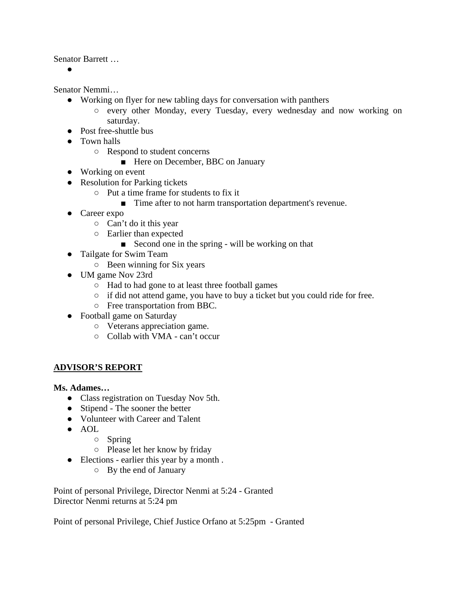Senator Barrett …

 $\bullet$ 

Senator Nemmi…

- Working on flyer for new tabling days for conversation with panthers
	- every other Monday, every Tuesday, every wednesday and now working on saturday.
- Post free-shuttle bus
- Town halls
	- Respond to student concerns
		- Here on December, BBC on January
- Working on event
- Resolution for Parking tickets
	- Put a time frame for students to fix it
		- Time after to not harm transportation department's revenue.
- Career expo
	- Can't do it this year
	- Earlier than expected
		- Second one in the spring will be working on that
- Tailgate for Swim Team
	- Been winning for Six years
- UM game Nov 23rd
	- Had to had gone to at least three football games
	- if did not attend game, you have to buy a ticket but you could ride for free.
	- Free transportation from BBC.
- Football game on Saturday
	- Veterans appreciation game.
	- Collab with VMA can't occur

## **ADVISOR'S REPORT**

**Ms. Adames…** 

- Class registration on Tuesday Nov 5th.
- Stipend The sooner the better
- Volunteer with Career and Talent
- $\bullet$  AOL
	- Spring
	- Please let her know by friday
- Elections earlier this year by a month .
	- By the end of January

Point of personal Privilege, Director Nenmi at 5:24 - Granted Director Nenmi returns at 5:24 pm

Point of personal Privilege, Chief Justice Orfano at 5:25pm - Granted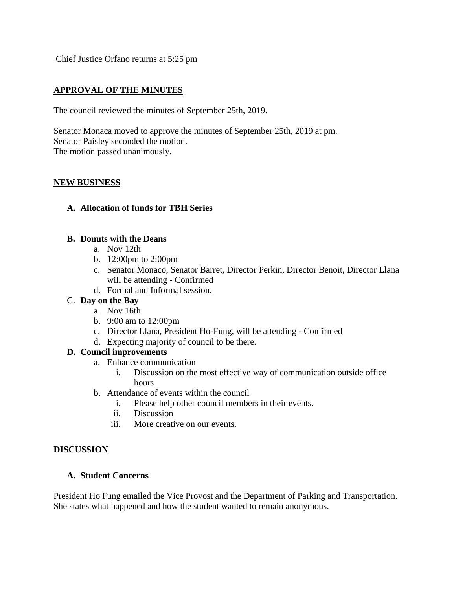Chief Justice Orfano returns at 5:25 pm

## **APPROVAL OF THE MINUTES**

The council reviewed the minutes of September 25th, 2019.

Senator Monaca moved to approve the minutes of September 25th, 2019 at pm. Senator Paisley seconded the motion. The motion passed unanimously.

#### **NEW BUSINESS**

#### **A. Allocation of funds for TBH Series**

#### **B. Donuts with the Deans**

- a. Nov 12th
- b. 12:00pm to 2:00pm
- c. Senator Monaco, Senator Barret, Director Perkin, Director Benoit, Director Llana will be attending - Confirmed
- d. Formal and Informal session.

#### C. **Day on the Bay**

- a. Nov 16th
- b. 9:00 am to 12:00pm
- c. Director Llana, President Ho-Fung, will be attending Confirmed
- d. Expecting majority of council to be there.

### **D. Council improvements**

- a. Enhance communication
	- i. Discussion on the most effective way of communication outside office hours
- b. Attendance of events within the council
	- i. Please help other council members in their events.
	- ii. Discussion
	- iii. More creative on our events.

#### **DISCUSSION**

#### **A. Student Concerns**

President Ho Fung emailed the Vice Provost and the Department of Parking and Transportation. She states what happened and how the student wanted to remain anonymous.